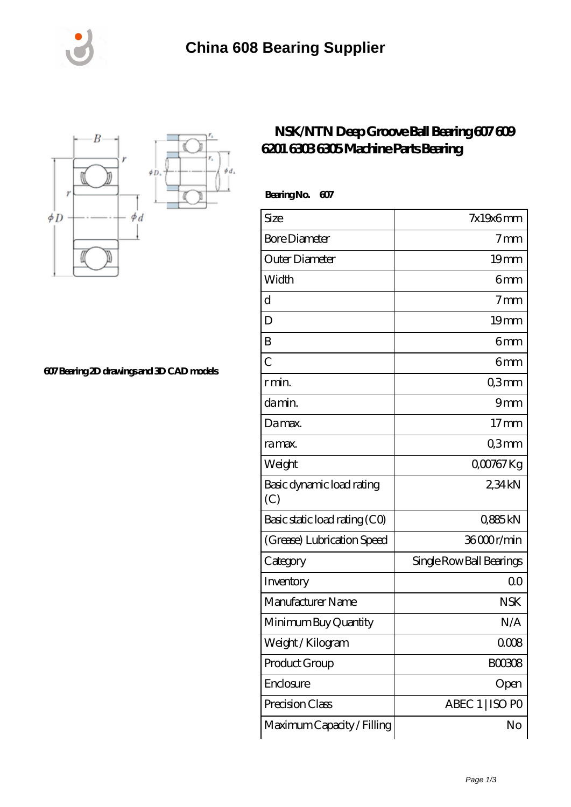



**[607 Bearing 2D drawings and 3D CAD models](https://m.rycraftlaw.com/pic-525470.html)**

## **[NSK/NTN Deep Groove Ball Bearing 607 609](https://m.rycraftlaw.com/nsk-6305-bearing/525470.html) [6201 6303 6305 Machine Parts Bearing](https://m.rycraftlaw.com/nsk-6305-bearing/525470.html)**

 **Bearing No. 607**

| Size                             | $7x19x6$ mm              |
|----------------------------------|--------------------------|
| <b>Bore Diameter</b>             | 7 <sub>mm</sub>          |
| Outer Diameter                   | 19 <sub>mm</sub>         |
| Width                            | 6mm                      |
| d                                | 7 <sub>mm</sub>          |
| D                                | 19 <sub>mm</sub>         |
| B                                | 6mm                      |
| $\overline{C}$                   | 6 <sub>mm</sub>          |
| r min.                           | Q3mm                     |
| da min.                          | 9 <sub>mm</sub>          |
| Damax.                           | $17 \text{mm}$           |
| ra max.                          | Q3mm                     |
| Weight                           | Q00767Kg                 |
| Basic dynamic load rating<br>(C) | 234kN                    |
| Basic static load rating (CO)    | Q885kN                   |
| (Grease) Lubrication Speed       | 36000r/min               |
| Category                         | Single Row Ball Bearings |
| Inventory                        | 0 <sup>0</sup>           |
| Manufacturer Name                | <b>NSK</b>               |
| Minimum Buy Quantity             | N/A                      |
| Weight /Kilogram                 | 0008                     |
| Product Group                    | <b>BOO308</b>            |
| Enclosure                        | Open                     |
| Precision Class                  | ABEC 1   ISO PO          |
| Maximum Capacity / Filling       | No                       |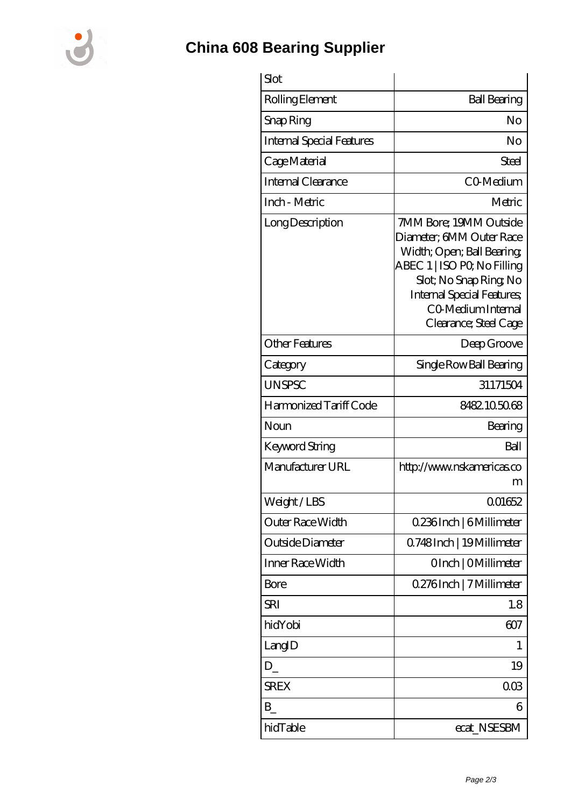

## **[China 608 Bearing Supplier](https://m.rycraftlaw.com)**

| Slot                             |                                                                                                                                                                                                                            |
|----------------------------------|----------------------------------------------------------------------------------------------------------------------------------------------------------------------------------------------------------------------------|
| Rolling Element                  | <b>Ball Bearing</b>                                                                                                                                                                                                        |
| Snap Ring                        | No                                                                                                                                                                                                                         |
| <b>Internal Special Features</b> | No                                                                                                                                                                                                                         |
| Cage Material                    | Steel                                                                                                                                                                                                                      |
| Internal Clearance               | C <sub>O</sub> Medium                                                                                                                                                                                                      |
| Inch - Metric                    | Metric                                                                                                                                                                                                                     |
| Long Description                 | 7MM Bore; 19MM Outside<br>Diameter; 6MM Outer Race<br>Width; Open; Ball Bearing;<br>ABEC 1   ISO PQ No Filling<br>Slot; No Snap Ring No<br><b>Internal Special Features</b><br>CO Medium Internal<br>Clearance; Steel Cage |
| <b>Other Features</b>            | Deep Groove                                                                                                                                                                                                                |
| Category                         | Single Row Ball Bearing                                                                                                                                                                                                    |
| <b>UNSPSC</b>                    | 31171504                                                                                                                                                                                                                   |
| Harmonized Tariff Code           | 8482105068                                                                                                                                                                                                                 |
| Noun                             | Bearing                                                                                                                                                                                                                    |
| <b>Keyword String</b>            | Ball                                                                                                                                                                                                                       |
| Manufacturer URL                 | http://www.nskamericas.co<br>m                                                                                                                                                                                             |
| Weight/LBS                       | 001652                                                                                                                                                                                                                     |
| Outer Race Width                 | 0.236Inch   6Millimeter                                                                                                                                                                                                    |
| Outside Diameter                 | Q748Inch   19Millimeter                                                                                                                                                                                                    |
| Inner Race Width                 | OInch   OMillimeter                                                                                                                                                                                                        |
| Bore                             | 0.276Inch   7 Millimeter                                                                                                                                                                                                   |
| SRI                              | 1.8                                                                                                                                                                                                                        |
| hidYobi                          | 607                                                                                                                                                                                                                        |
| LangID                           | 1                                                                                                                                                                                                                          |
| $D_{-}$                          | 19                                                                                                                                                                                                                         |
| <b>SREX</b>                      | 003                                                                                                                                                                                                                        |
| $B_{-}$                          | 6                                                                                                                                                                                                                          |
| hidTable                         | ecat_NSESBM                                                                                                                                                                                                                |